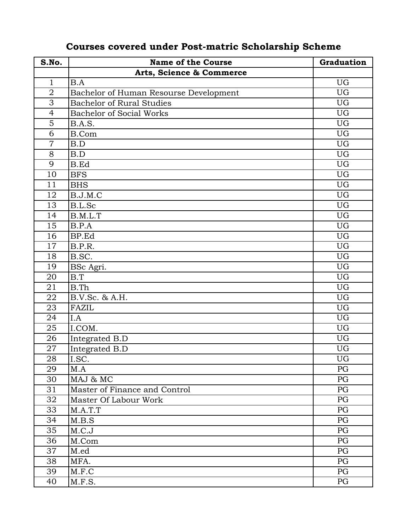| S.No.          | <b>Name of the Course</b>              | Graduation |
|----------------|----------------------------------------|------------|
|                | Arts, Science & Commerce               |            |
| $\mathbf{1}$   | B.A                                    | UG         |
| $\overline{2}$ | Bachelor of Human Resourse Development | <b>UG</b>  |
| 3              | <b>Bachelor of Rural Studies</b>       | UG         |
| $\overline{4}$ | <b>Bachelor of Social Works</b>        | UG         |
| 5              | B.A.S.                                 | <b>UG</b>  |
| 6              | <b>B.Com</b>                           | <b>UG</b>  |
| $\overline{7}$ | B.D                                    | <b>UG</b>  |
| 8              | B.D                                    | UG         |
| 9              | <b>B.Ed</b>                            | <b>UG</b>  |
| 10             | <b>BFS</b>                             | UG         |
| 11             | <b>BHS</b>                             | <b>UG</b>  |
| 12             | B.J.M.C                                | UG         |
| 13             | B.L.Sc                                 | UG         |
| 14             | B.M.L.T                                | UG         |
| 15             | B.P.A                                  | UG         |
| 16             | BP.Ed                                  | UG         |
| 17             | B.P.R.                                 | UG         |
| 18             | B.SC.                                  | <b>UG</b>  |
| 19             | BSc Agri.                              | <b>UG</b>  |
| 20             | B.T                                    | <b>UG</b>  |
| 21             | B.Th                                   | UG         |
| 22             | B.V.Sc. & A.H.                         | <b>UG</b>  |
| 23             | FAZIL                                  | UG         |
| 24             | I.A                                    | UG         |
| 25             | I.COM.                                 | UG         |
| 26             | Integrated B.D                         | UG         |
| 27             | Integrated B.D                         | <b>UG</b>  |
| 28             | I.SC.                                  | UG         |
| 29             | M.A                                    | PG         |
| 30             | MAJ & MC                               | PG         |
| 31             | Master of Finance and Control          | PG         |
| 32             | Master Of Labour Work                  | PG         |
| 33             | M.A.T.T                                | PG         |
| 34             | M.B.S                                  | PG         |
| 35             | M.C.J                                  | PG         |
| 36             | M.Com                                  | PG         |
| 37             | M.ed                                   | PG         |
| 38             | MFA.                                   | PG         |
| 39             | M.F.C                                  | PG         |
| 40             | M.F.S.                                 | PG         |

## **Courses covered under Post-matric Scholarship Scheme**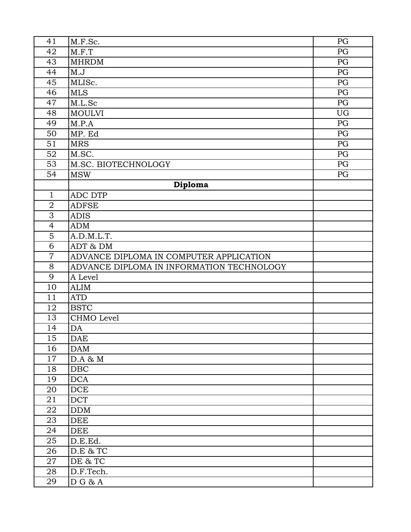| 41                  | M.F.Sc.                                   | PG |
|---------------------|-------------------------------------------|----|
| 42                  | M.F.T                                     | PG |
| 43                  | <b>MHRDM</b>                              | PG |
| 44                  | M.J                                       | PG |
| 45                  | MLISc.                                    | PG |
| 46                  | <b>MLS</b>                                | PG |
| 47                  | M.L.Sc                                    | PG |
| 48                  | <b>MOULVI</b>                             | UG |
| 49                  | M.P.A                                     | PG |
| 50                  | MP. Ed                                    | PG |
| 51                  | <b>MRS</b>                                | PG |
| 52                  | M.SC.                                     | PG |
| 53                  | M.SC. BIOTECHNOLOGY                       | PG |
| 54                  | <b>MSW</b>                                | PG |
|                     | Diploma                                   |    |
| 1                   | ADC DTP                                   |    |
| $\overline{2}$      | <b>ADFSE</b>                              |    |
| $\overline{\omega}$ | <b>ADIS</b>                               |    |
| $\overline{4}$      | ADM                                       |    |
| 5                   | A.D.M.L.T.                                |    |
| 6                   | ADT & DM                                  |    |
| $\overline{7}$      | ADVANCE DIPLOMA IN COMPUTER APPLICATION   |    |
| 8                   | ADVANCE DIPLOMA IN INFORMATION TECHNOLOGY |    |
| 9                   | A Level                                   |    |
| 10                  | <b>ALIM</b>                               |    |
| 11                  | <b>ATD</b>                                |    |
| 12                  | <b>BSTC</b>                               |    |
| 13                  | CHMO Level                                |    |
| 14                  | DA                                        |    |
| 15                  | <b>DAE</b>                                |    |
| 16                  | <b>DAM</b>                                |    |
| 17                  | D.A & M                                   |    |
| 18                  | DBC                                       |    |
| 19                  | <b>DCA</b>                                |    |
| 20                  | DCE                                       |    |
| 21                  | <b>DCT</b>                                |    |
| 22                  | <b>DDM</b>                                |    |
| 23                  | <b>DEE</b>                                |    |
| 24                  | DEE                                       |    |
| 25                  | D.E.Ed.                                   |    |
| 26                  | D.E & TC                                  |    |
| 27                  | DE & TC                                   |    |
| 28                  | D.F.Tech.                                 |    |
| 29                  | $\overline{D}$ G & A                      |    |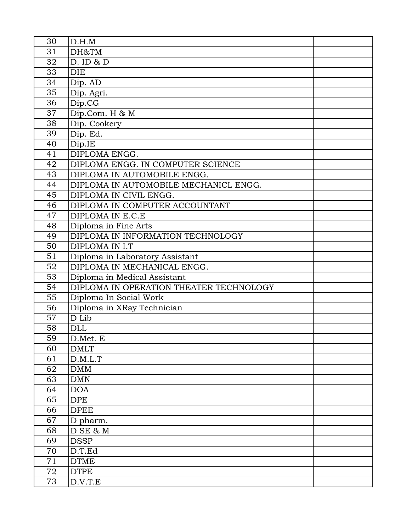| 30 | D.H.M                                   |  |
|----|-----------------------------------------|--|
| 31 | DH&TM                                   |  |
| 32 | $D.$ ID & $D$                           |  |
| 33 | <b>DIE</b>                              |  |
| 34 | Dip. AD                                 |  |
| 35 | Dip. Agri.                              |  |
| 36 | Dip.CG                                  |  |
| 37 | Dip.Com. H & M                          |  |
| 38 | Dip. Cookery                            |  |
| 39 | Dip. Ed.                                |  |
| 40 | Dip.IE                                  |  |
| 41 | DIPLOMA ENGG.                           |  |
| 42 | DIPLOMA ENGG. IN COMPUTER SCIENCE       |  |
| 43 | DIPLOMA IN AUTOMOBILE ENGG.             |  |
| 44 | DIPLOMA IN AUTOMOBILE MECHANICL ENGG.   |  |
| 45 | DIPLOMA IN CIVIL ENGG.                  |  |
| 46 | DIPLOMA IN COMPUTER ACCOUNTANT          |  |
| 47 | DIPLOMA IN E.C.E                        |  |
| 48 | Diploma in Fine Arts                    |  |
| 49 | DIPLOMA IN INFORMATION TECHNOLOGY       |  |
| 50 | DIPLOMA IN I.T                          |  |
| 51 | Diploma in Laboratory Assistant         |  |
| 52 | DIPLOMA IN MECHANICAL ENGG.             |  |
| 53 | Diploma in Medical Assistant            |  |
| 54 | DIPLOMA IN OPERATION THEATER TECHNOLOGY |  |
| 55 | Diploma In Social Work                  |  |
| 56 | Diploma in XRay Technician              |  |
| 57 | D Lib                                   |  |
| 58 | <b>DLL</b>                              |  |
| 59 | D.Met. E                                |  |
| 60 | <b>DMLT</b>                             |  |
| 61 | D.M.L.T                                 |  |
| 62 | <b>DMM</b>                              |  |
| 63 | <b>DMN</b>                              |  |
| 64 | <b>DOA</b>                              |  |
| 65 | <b>DPE</b>                              |  |
| 66 | <b>DPEE</b>                             |  |
| 67 | D pharm.                                |  |
| 68 | D SE & M                                |  |
| 69 | <b>DSSP</b>                             |  |
| 70 | D.T.Ed                                  |  |
| 71 | <b>DTME</b>                             |  |
| 72 | <b>DTPE</b>                             |  |
| 73 | D.V.T.E                                 |  |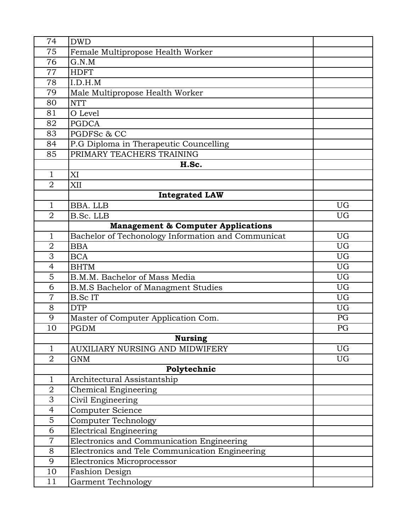| 74             | <b>DWD</b>                                         |           |
|----------------|----------------------------------------------------|-----------|
| 75             | Female Multipropose Health Worker                  |           |
| 76             | G.N.M                                              |           |
| 77             | <b>HDFT</b>                                        |           |
| 78             | I.D.H.M                                            |           |
| 79             | Male Multipropose Health Worker                    |           |
| 80             | <b>NTT</b>                                         |           |
| 81             | O Level                                            |           |
| 82             | <b>PGDCA</b>                                       |           |
| 83             | PGDFSc & CC                                        |           |
| 84             | P.G Diploma in Therapeutic Councelling             |           |
| 85             | PRIMARY TEACHERS TRAINING                          |           |
|                | H.Sc.                                              |           |
| 1              | XI                                                 |           |
| $\overline{2}$ | XII                                                |           |
|                | <b>Integrated LAW</b>                              |           |
| 1              | BBA. LLB                                           | <b>UG</b> |
| $\overline{2}$ | B.Sc. LLB                                          | <b>UG</b> |
|                | <b>Management &amp; Computer Applications</b>      |           |
| 1              | Bachelor of Techonology Information and Communicat | <b>UG</b> |
| $\overline{2}$ | <b>BBA</b>                                         | <b>UG</b> |
| 3              | <b>BCA</b>                                         | <b>UG</b> |
| $\overline{4}$ | <b>BHTM</b>                                        | <b>UG</b> |
| 5              | B.M.M. Bachelor of Mass Media                      | <b>UG</b> |
| 6              | <b>B.M.S Bachelor of Managment Studies</b>         | <b>UG</b> |
| $\overline{7}$ | <b>B.ScIT</b>                                      | <b>UG</b> |
| 8              | <b>DTP</b>                                         | <b>UG</b> |
| 9              | Master of Computer Application Com.                | PG        |
| 10             | <b>PGDM</b>                                        | PG        |
|                | <b>Nursing</b>                                     |           |
| 1              | AUXILIARY NURSING AND MIDWIFERY                    | <b>UG</b> |
| $\overline{2}$ | GNM                                                | UG        |
|                | Polytechnic                                        |           |
| 1              | Architectural Assistantship                        |           |
| $\overline{2}$ | Chemical Engineering                               |           |
| 3              | Civil Engineering                                  |           |
| $\overline{4}$ | Computer Science                                   |           |
| $\overline{5}$ | Computer Technology                                |           |
| 6              | <b>Electrical Engineering</b>                      |           |
| $\overline{7}$ | Electronics and Communication Engineering          |           |
| 8              | Electronics and Tele Communication Engineering     |           |
| 9              | Electronics Microprocessor                         |           |
| 10             | <b>Fashion Design</b>                              |           |
| 11             | <b>Garment Technology</b>                          |           |